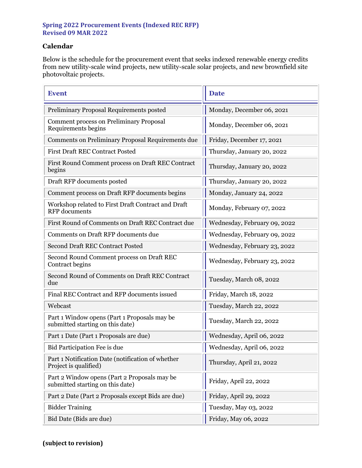## **Spring 2022 Procurement Events (Indexed REC RFP) Revised 09 MAR 2022**

## **Calendar**

Below is the schedule for the procurement event that seeks indexed renewable energy credits from new utility-scale wind projects, new utility-scale solar projects, and new brownfield site photovoltaic projects.

| <b>Event</b>                                                                     | <b>Date</b>                  |
|----------------------------------------------------------------------------------|------------------------------|
| Preliminary Proposal Requirements posted                                         | Monday, December 06, 2021    |
| <b>Comment process on Preliminary Proposal</b><br>Requirements begins            | Monday, December 06, 2021    |
| Comments on Preliminary Proposal Requirements due                                | Friday, December 17, 2021    |
| <b>First Draft REC Contract Posted</b>                                           | Thursday, January 20, 2022   |
| First Round Comment process on Draft REC Contract<br>begins                      | Thursday, January 20, 2022   |
| Draft RFP documents posted                                                       | Thursday, January 20, 2022   |
| Comment process on Draft RFP documents begins                                    | Monday, January 24, 2022     |
| Workshop related to First Draft Contract and Draft<br><b>RFP</b> documents       | Monday, February 07, 2022    |
| First Round of Comments on Draft REC Contract due                                | Wednesday, February 09, 2022 |
| Comments on Draft RFP documents due                                              | Wednesday, February 09, 2022 |
| <b>Second Draft REC Contract Posted</b>                                          | Wednesday, February 23, 2022 |
| Second Round Comment process on Draft REC<br>Contract begins                     | Wednesday, February 23, 2022 |
| Second Round of Comments on Draft REC Contract<br>due                            | Tuesday, March 08, 2022      |
| Final REC Contract and RFP documents issued                                      | Friday, March 18, 2022       |
| Webcast                                                                          | Tuesday, March 22, 2022      |
| Part 1 Window opens (Part 1 Proposals may be<br>submitted starting on this date) | Tuesday, March 22, 2022      |
| Part 1 Date (Part 1 Proposals are due)                                           | Wednesday, April 06, 2022    |
| Bid Participation Fee is due                                                     | Wednesday, April 06, 2022    |
| Part 1 Notification Date (notification of whether<br>Project is qualified)       | Thursday, April 21, 2022     |
| Part 2 Window opens (Part 2 Proposals may be<br>submitted starting on this date) | Friday, April 22, 2022       |
| Part 2 Date (Part 2 Proposals except Bids are due)                               | Friday, April 29, 2022       |
| <b>Bidder Training</b>                                                           | Tuesday, May 03, 2022        |
| Bid Date (Bids are due)                                                          | Friday, May 06, 2022         |